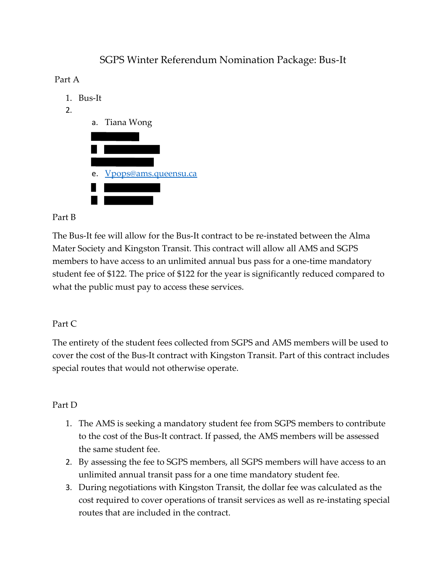# SGPS Winter Referendum Nomination Package: Bus-It

### Part A

- 1. Bus-It
- 2.



#### Part B

The Bus-It fee will allow for the Bus-It contract to be re-instated between the Alma Mater Society and Kingston Transit. This contract will allow all AMS and SGPS members to have access to an unlimited annual bus pass for a one-time mandatory student fee of \$122. The price of \$122 for the year is significantly reduced compared to what the public must pay to access these services.

## Part C

The entirety of the student fees collected from SGPS and AMS members will be used to cover the cost of the Bus-It contract with Kingston Transit. Part of this contract includes special routes that would not otherwise operate.

## Part D

- 1. The AMS is seeking a mandatory student fee from SGPS members to contribute to the cost of the Bus-It contract. If passed, the AMS members will be assessed the same student fee.
- 2. By assessing the fee to SGPS members, all SGPS members will have access to an unlimited annual transit pass for a one time mandatory student fee.
- 3. During negotiations with Kingston Transit, the dollar fee was calculated as the cost required to cover operations of transit services as well as re-instating special routes that are included in the contract.